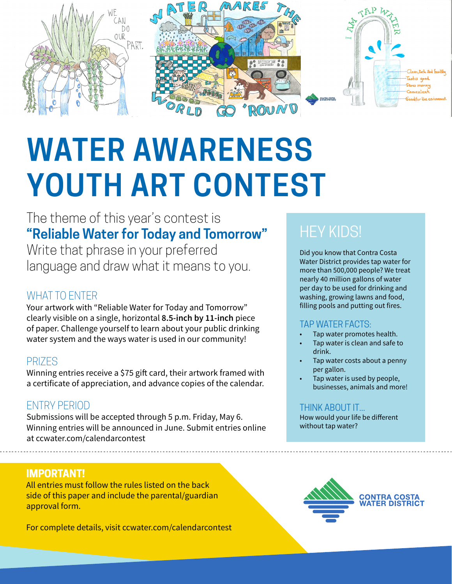

# **WATER AWARENESS YOUTH ART CONTEST**

# The theme of this year's contest is **"Reliable Water for Today and Tomorrow"**

Write that phrase in your preferred language and draw what it means to you.

# WHAT TO ENTER

Your artwork with "Reliable Water for Today and Tomorrow" clearly visible on a single, horizontal **8.5-inch by 11-inch** piece of paper. Challenge yourself to learn about your public drinking water system and the ways water is used in our community!

# PRIZES

Winning entries receive a \$75 gift card, their artwork framed with a certificate of appreciation, and advance copies of the calendar.

# ENTRY PERIOD

Submissions will be accepted through 5 p.m. Friday, May 6. Winning entries will be announced in June. Submit entries online at ccwater.com/calendarcontest

## **IMPORTANT!**

All entries must follow the rules listed on the back side of this paper and include the parental/guardian approval form.

For complete details, visit ccwater.com/calendarcontest

# **HEY KIDS!**

Did you know that Contra Costa Water District provides tap water for more than 500,000 people? We treat nearly 40 million gallons of water per day to be used for drinking and washing, growing lawns and food, filling pools and putting out fires.

#### TAP WATER FACTS:

- Tap water promotes health.
- Tap water is clean and safe to drink.
- Tap water costs about a penny per gallon.
- Tap water is used by people, businesses, animals and more!

#### THINK ABOUT IT...

How would your life be different without tap water?